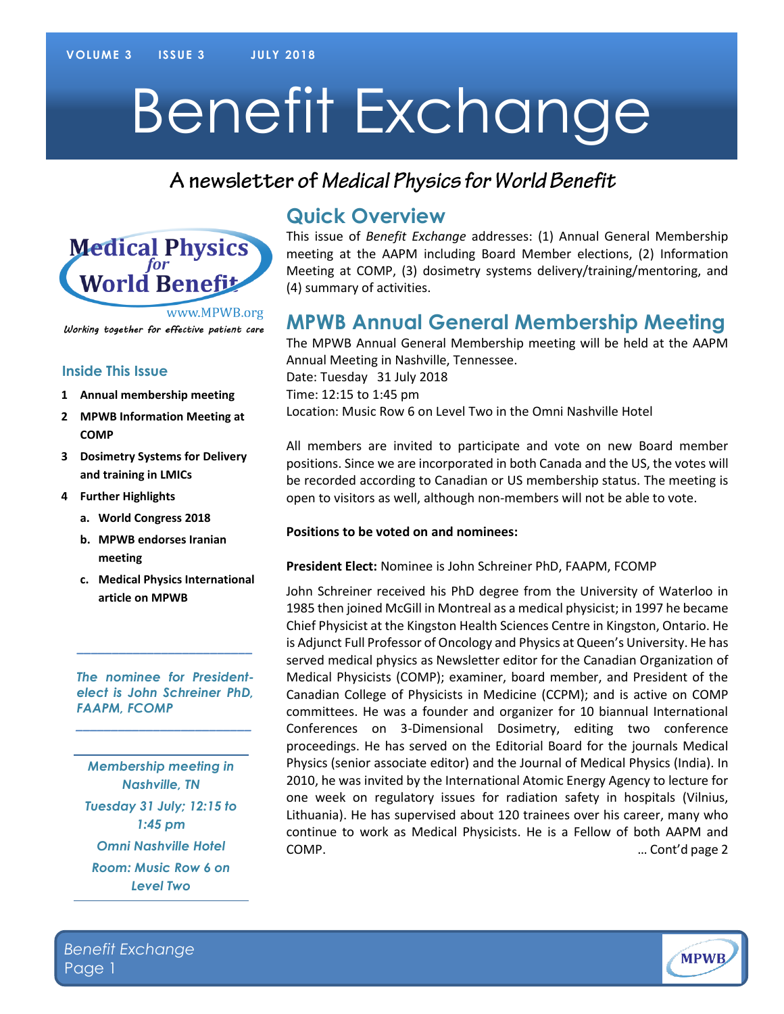# Benefit Exchange

# A newsletter of Medical Physics for World Benefit



Working together for effective patient care

#### **Inside This Issue**

- **1 Annual membership meeting**
- **2 MPWB Information Meeting at COMP**
- **3 Dosimetry Systems for Delivery and training in LMICs**
- **4 Further Highlights**
	- **a. World Congress 2018**
	- **b. MPWB endorses Iranian meeting**
	- **c. Medical Physics International article on MPWB**

*The nominee for Presidentelect is John Schreiner PhD, FAAPM, FCOMP*

*\_\_\_\_\_\_\_\_\_\_\_\_\_\_\_\_\_\_\_\_\_\_\_\_\_*

**\_\_\_\_\_\_\_\_\_\_\_\_\_\_\_\_\_\_\_\_\_\_\_\_\_**

*Membership meeting in Nashville, TN Tuesday 31 July; 12:15 to 1:45 pm Omni Nashville Hotel Room: Music Row 6 on Level Two*

## **Quick Overview**

This issue of *Benefit Exchange* addresses: (1) Annual General Membership meeting at the AAPM including Board Member elections, (2) Information Meeting at COMP, (3) dosimetry systems delivery/training/mentoring, and (4) summary of activities.

# **MPWB Annual General Membership Meeting**

The MPWB Annual General Membership meeting will be held at the AAPM Annual Meeting in Nashville, Tennessee. Date: Tuesday 31 July 2018 Time: 12:15 to 1:45 pm Location: Music Row 6 on Level Two in the Omni Nashville Hotel

All members are invited to participate and vote on new Board member positions. Since we are incorporated in both Canada and the US, the votes will be recorded according to Canadian or US membership status. The meeting is open to visitors as well, although non-members will not be able to vote.

#### **Positions to be voted on and nominees:**

#### **President Elect:** Nominee is John Schreiner PhD, FAAPM, FCOMP

John Schreiner received his PhD degree from the University of Waterloo in 1985 then joined McGill in Montreal as a medical physicist; in 1997 he became Chief Physicist at the Kingston Health Sciences Centre in Kingston, Ontario. He is Adjunct Full Professor of Oncology and Physics at Queen's University. He has served medical physics as Newsletter editor for the Canadian Organization of Medical Physicists (COMP); examiner, board member, and President of the Canadian College of Physicists in Medicine (CCPM); and is active on COMP committees. He was a founder and organizer for 10 biannual International Conferences on 3-Dimensional Dosimetry, editing two conference proceedings. He has served on the Editorial Board for the journals Medical Physics (senior associate editor) and the Journal of Medical Physics (India). In 2010, he was invited by the International Atomic Energy Agency to lecture for one week on regulatory issues for radiation safety in hospitals (Vilnius, Lithuania). He has supervised about 120 trainees over his career, many who continue to work as Medical Physicists. He is a Fellow of both AAPM and COMP. … Cont'd page 2